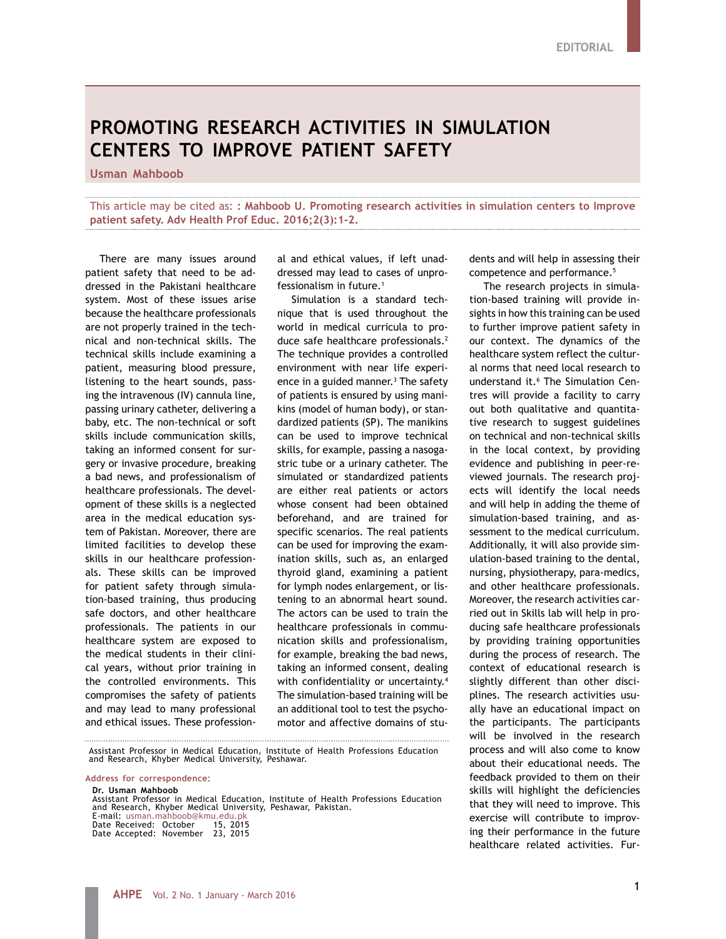## **PROMOTING RESEARCH ACTIVITIES IN SIMULATION CENTERS TO IMPROVE PATIENT SAFETY**

**Usman Mahboob**

This article may be cited as: **: Mahboob U. Promoting research activities in simulation centers to Improve patient safety. Adv Health Prof Educ. 2016;2(3):1-2.**

There are many issues around patient safety that need to be addressed in the Pakistani healthcare system. Most of these issues arise because the healthcare professionals are not properly trained in the technical and non-technical skills. The technical skills include examining a patient, measuring blood pressure, listening to the heart sounds, passing the intravenous (IV) cannula line, passing urinary catheter, delivering a baby, etc. The non-technical or soft skills include communication skills, taking an informed consent for surgery or invasive procedure, breaking a bad news, and professionalism of healthcare professionals. The development of these skills is a neglected area in the medical education system of Pakistan. Moreover, there are limited facilities to develop these skills in our healthcare professionals. These skills can be improved for patient safety through simulation-based training, thus producing safe doctors, and other healthcare professionals. The patients in our healthcare system are exposed to the medical students in their clinical years, without prior training in the controlled environments. This compromises the safety of patients and may lead to many professional and ethical issues. These profession-

al and ethical values, if left unaddressed may lead to cases of unprofessionalism in future.<sup>1</sup>

Simulation is a standard technique that is used throughout the world in medical curricula to produce safe healthcare professionals.<sup>2</sup> The technique provides a controlled environment with near life experience in a guided manner.<sup>3</sup> The safety of patients is ensured by using manikins (model of human body), or standardized patients (SP). The manikins can be used to improve technical skills, for example, passing a nasogastric tube or a urinary catheter. The simulated or standardized patients are either real patients or actors whose consent had been obtained beforehand, and are trained for specific scenarios. The real patients can be used for improving the examination skills, such as, an enlarged thyroid gland, examining a patient for lymph nodes enlargement, or listening to an abnormal heart sound. The actors can be used to train the healthcare professionals in communication skills and professionalism, for example, breaking the bad news, taking an informed consent, dealing with confidentiality or uncertainty.<sup>4</sup> The simulation-based training will be an additional tool to test the psychomotor and affective domains of stu-

Assistant Professor in Medical Education, Institute of Health Professions Education and Research, Khyber Medical University, Peshawar.

**Address for correspondence:**

**Dr. Usman Mahboob**

Assistant Professor in Medical Education, Institute of Health Professions Education and Research, Khyber Medical University, Peshawar, Pakistan. E-mail: usman.mahboob@kmu.edu.pk Date Received: October 15, 2015

Date Accepted: November 23, 2015

dents and will help in assessing their competence and performance.<sup>5</sup>

The research projects in simulation-based training will provide insights in how this training can be used to further improve patient safety in our context. The dynamics of the healthcare system reflect the cultural norms that need local research to understand it.6 The Simulation Centres will provide a facility to carry out both qualitative and quantitative research to suggest guidelines on technical and non-technical skills in the local context, by providing evidence and publishing in peer-reviewed journals. The research projects will identify the local needs and will help in adding the theme of simulation-based training, and assessment to the medical curriculum. Additionally, it will also provide simulation-based training to the dental, nursing, physiotherapy, para-medics, and other healthcare professionals. Moreover, the research activities carried out in Skills lab will help in producing safe healthcare professionals by providing training opportunities during the process of research. The context of educational research is slightly different than other disciplines. The research activities usually have an educational impact on the participants. The participants will be involved in the research process and will also come to know about their educational needs. The feedback provided to them on their skills will highlight the deficiencies that they will need to improve. This exercise will contribute to improving their performance in the future healthcare related activities. Fur